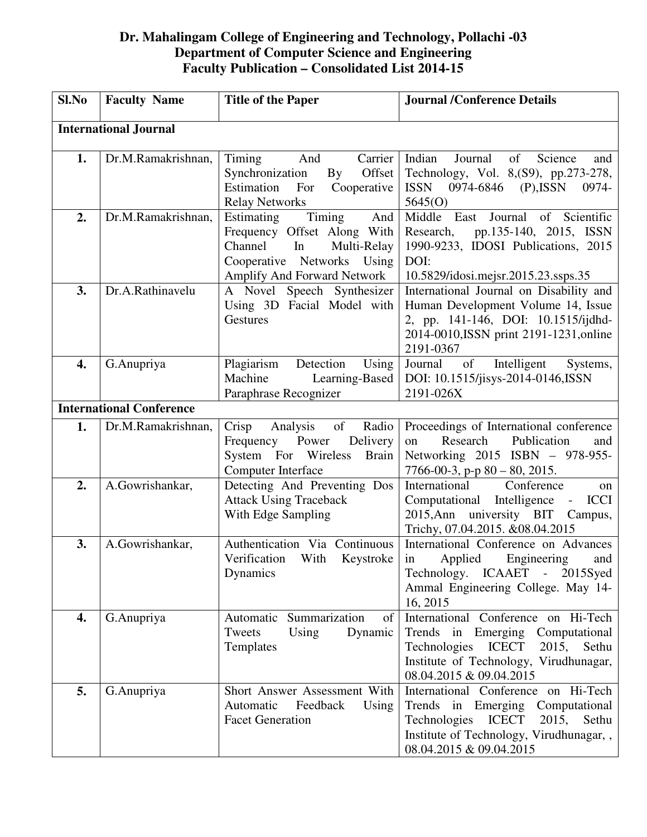## **Dr. Mahalingam College of Engineering and Technology, Pollachi -03 Department of Computer Science and Engineering Faculty Publication – Consolidated List 2014-15**

| Sl.No                        | <b>Faculty Name</b>             | <b>Title of the Paper</b>                                                                                                                               | <b>Journal /Conference Details</b>                                                                                                                                                                |  |
|------------------------------|---------------------------------|---------------------------------------------------------------------------------------------------------------------------------------------------------|---------------------------------------------------------------------------------------------------------------------------------------------------------------------------------------------------|--|
| <b>International Journal</b> |                                 |                                                                                                                                                         |                                                                                                                                                                                                   |  |
| 1.                           | Dr.M.Ramakrishnan,              | Carrier                                                                                                                                                 | Indian<br>Science<br>Journal<br>of                                                                                                                                                                |  |
|                              |                                 | Timing<br>And<br>$\mathbf{B}\mathbf{y}$<br>Offset<br>Synchronization<br>Estimation<br>For<br>Cooperative                                                | and<br>Technology, Vol. 8, (S9), pp. 273-278,<br><b>ISSN</b><br>0974-6846<br>$(P)$ , ISSN<br>0974-                                                                                                |  |
|                              |                                 | <b>Relay Networks</b>                                                                                                                                   | 5645(0)                                                                                                                                                                                           |  |
| 2.                           | Dr.M.Ramakrishnan,              | Timing<br>And<br>Estimating<br>Frequency Offset Along With<br>Channel<br>Multi-Relay<br>In<br>Cooperative Networks Using<br>Amplify And Forward Network | of Scientific<br>Middle East<br>Journal<br>pp.135-140, 2015, ISSN<br>Research,<br>1990-9233, IDOSI Publications, 2015<br>DOI:<br>10.5829/idosi.mejsr.2015.23.ssps.35                              |  |
| 3.                           | Dr.A.Rathinavelu                | A Novel Speech Synthesizer<br>Using 3D Facial Model with<br>Gestures                                                                                    | International Journal on Disability and<br>Human Development Volume 14, Issue<br>2, pp. 141-146, DOI: 10.1515/ijdhd-<br>2014-0010, ISSN print 2191-1231, online<br>2191-0367                      |  |
| 4.                           | G.Anupriya                      | Detection<br>Plagiarism<br>Using<br>Machine<br>Learning-Based<br>Paraphrase Recognizer                                                                  | of<br>Intelligent<br>Journal<br>Systems,<br>DOI: 10.1515/jisys-2014-0146, ISSN<br>2191-026X                                                                                                       |  |
|                              | <b>International Conference</b> |                                                                                                                                                         |                                                                                                                                                                                                   |  |
| 1.                           | Dr.M.Ramakrishnan,              | Radio<br>Crisp<br>Analysis<br>of<br>Frequency Power<br>Delivery<br>System For Wireless<br><b>Brain</b><br>Computer Interface                            | Proceedings of International conference<br>Research<br>Publication<br>on<br>and<br>Networking 2015 ISBN - 978-955-<br>$7766 - 00 - 3$ , p-p $80 - 80$ , 2015.                                     |  |
| 2.                           | A.Gowrishankar,                 | Detecting And Preventing Dos<br><b>Attack Using Traceback</b><br>With Edge Sampling                                                                     | International<br>Conference<br>on<br>Computational Intelligence<br><b>ICCI</b><br>$\sim 10^{-11}$<br>2015, Ann university BIT Campus,<br>Trichy, 07.04.2015. &08.04.2015                          |  |
| 3.                           | A.Gowrishankar,                 | Authentication Via Continuous<br>Verification<br>With<br>Keystroke<br>Dynamics                                                                          | International Conference on Advances<br>Applied<br>Engineering<br>in<br>and<br>Technology. ICAAET - 2015Syed<br>Ammal Engineering College. May 14-<br>16, 2015                                    |  |
| 4.                           | G.Anupriya                      | Automatic Summarization<br>of<br>Tweets<br>Using<br>Dynamic<br>Templates                                                                                | International Conference on Hi-Tech<br>Trends<br>in Emerging Computational<br>Technologies<br><b>ICECT</b><br>2015,<br>Sethu<br>Institute of Technology, Virudhunagar,<br>08.04.2015 & 09.04.2015 |  |
| 5.                           | G.Anupriya                      | Short Answer Assessment With<br>Automatic<br>Feedback<br>Using<br><b>Facet Generation</b>                                                               | International Conference on Hi-Tech<br>Trends in Emerging Computational<br><b>ICECT</b><br>Technologies<br>2015,<br>Sethu<br>Institute of Technology, Virudhunagar, ,<br>08.04.2015 & 09.04.2015  |  |